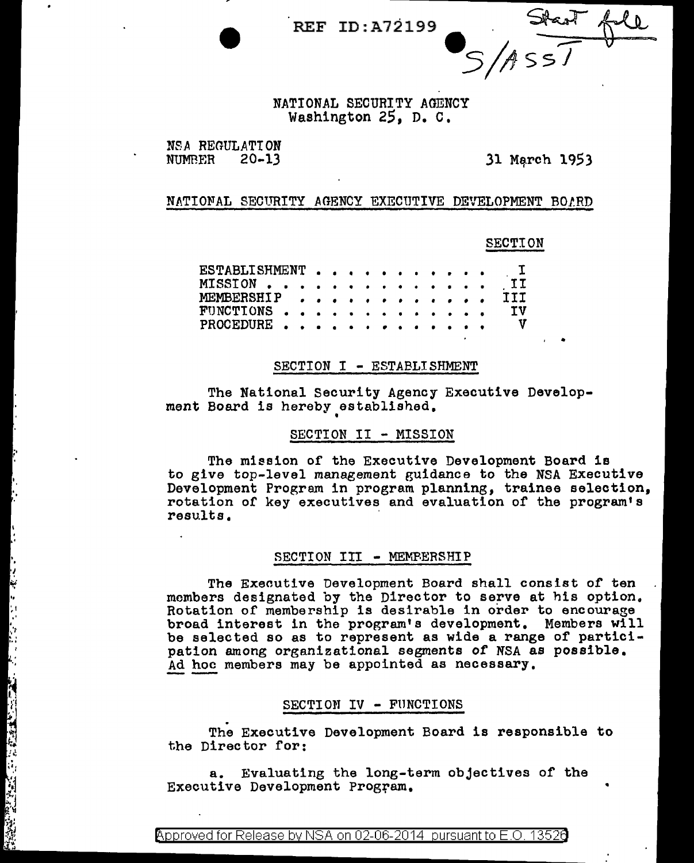REF ID:A72199

S/ASS/

NATIONAL SECURITY AGENCY Washington 25, D. C,

NSA REGULATION<br>NUMBER 20-13

·.

.. . .  $\frac{1}{2}$  ,  $\ddot{\cdot}$ ..

 $\frac{1}{2}$ 

 $\frac{1}{\sqrt{2}}$ 

 $\frac{1}{4}$ 

31 March 1953

•

•

# NATIONAL SECURITY AGENCY EXECUTIVE DEVELOPMENT BOLRD

## SECTION

| ESTABLISHMENT I    |  |  |  |  |  |  |  |    |
|--------------------|--|--|--|--|--|--|--|----|
| MISSION II         |  |  |  |  |  |  |  |    |
| MEMBERSHIP III     |  |  |  |  |  |  |  |    |
| FUNCTIONS          |  |  |  |  |  |  |  | τv |
| PROCEDURE $\cdots$ |  |  |  |  |  |  |  |    |

#### SECTION I - ESTABLISHMENT

The National Security Agency Executive Development Board is hereby established.

### SECTION II - MISSION

The mission of the Executive Development Board is to give top-level management guidance to the NSA Executive Development Program in program planning, trainee selection, rotation of key executives and evaluation of the program's results •

#### SECTION III - MEMPERSHIP

The Exeoutive Development Board shall consist of ten members designated by the Director to serve at his option. Rotation of membership is desirable in order to encourage broad interest in the program's development. Members will be selected so as to represent as wide a range of participation among organizational segments of NSA as possible.<br>Ad hoc members may be appointed as necessary.

### SECTION IV - FUNCTIONS

. The Executive Development Board is responsible to the Director for:

a. Evaluating the long-term objectives of the Executive Development Program.